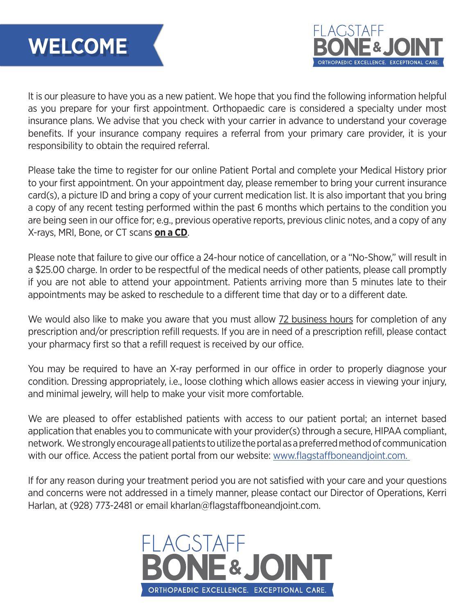



It is our pleasure to have you as a new patient. We hope that you find the following information helpful as you prepare for your first appointment. Orthopaedic care is considered a specialty under most insurance plans. We advise that you check with your carrier in advance to understand your coverage benefits. If your insurance company requires a referral from your primary care provider, it is your responsibility to obtain the required referral.

Please take the time to register for our online Patient Portal and complete your Medical History prior to your first appointment. On your appointment day, please remember to bring your current insurance card(s), a picture ID and bring a copy of your current medication list. It is also important that you bring a copy of any recent testing performed within the past 6 months which pertains to the condition you are being seen in our office for; e.g., previous operative reports, previous clinic notes, and a copy of any X-rays, MRI, Bone, or CT scans **on a CD**.

Please note that failure to give our office a 24-hour notice of cancellation, or a "No-Show," will result in a \$25.00 charge. In order to be respectful of the medical needs of other patients, please call promptly if you are not able to attend your appointment. Patients arriving more than 5 minutes late to their appointments may be asked to reschedule to a different time that day or to a different date.

We would also like to make you aware that you must allow 72 business hours for completion of any prescription and/or prescription refill requests. If you are in need of a prescription refill, please contact your pharmacy first so that a refill request is received by our office.

You may be required to have an X-ray performed in our office in order to properly diagnose your condition. Dressing appropriately, i.e., loose clothing which allows easier access in viewing your injury, and minimal jewelry, will help to make your visit more comfortable.

We are pleased to offer established patients with access to our patient portal; an internet based application that enables you to communicate with your provider(s) through a secure, HIPAA compliant, network. We strongly encourage all patients to utilize the portal as a preferred method of communication with our office. Access the patient portal from our website: www.flagstaffboneandjoint.com.

If for any reason during your treatment period you are not satisfied with your care and your questions and concerns were not addressed in a timely manner, please contact our Director of Operations, Kerri Harlan, at (928) 773-2481 or email kharlan@flagstaffboneandjoint.com.

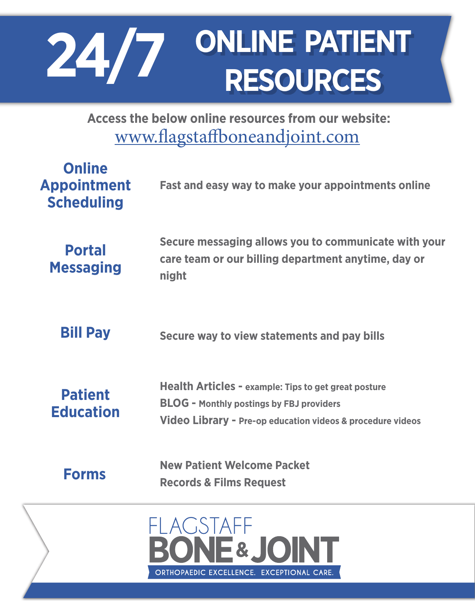# **ONLINE PATIENT RESOURCES 24/7**

 **Access the below online resources from our website:**  www.flagstaffboneandjoint.com

| <b>Online</b><br><b>Appointment</b><br><b>Scheduling</b> | Fast and easy way to make your appointments online                                                                                                                                      |
|----------------------------------------------------------|-----------------------------------------------------------------------------------------------------------------------------------------------------------------------------------------|
| <b>Portal</b><br><b>Messaging</b>                        | Secure messaging allows you to communicate with your<br>care team or our billing department anytime, day or<br>night                                                                    |
| <b>Bill Pay</b>                                          | Secure way to view statements and pay bills                                                                                                                                             |
| <b>Patient</b><br><b>Education</b>                       | <b>Health Articles - example: Tips to get great posture</b><br><b>BLOG</b> - Monthly postings by FBJ providers<br><b>Video Library - Pre-op education videos &amp; procedure videos</b> |
| <b>Forms</b>                                             | <b>New Patient Welcome Packet</b><br><b>Records &amp; Films Request</b>                                                                                                                 |

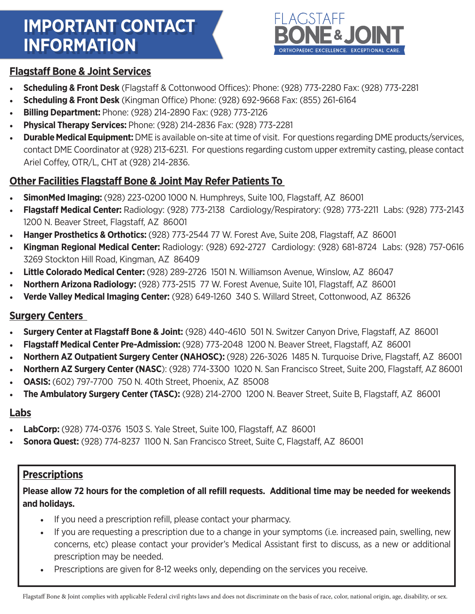# **IMPORTANT CONTACT INFORMATION**



## **Flagstaff Bone & Joint Services**

- **Scheduling & Front Desk** (Flagstaff & Cottonwood Offices): Phone: (928) 773-2280 Fax: (928) 773-2281
- **Scheduling & Front Desk** (Kingman Office) Phone: (928) 692-9668 Fax: (855) 261-6164
- **Billing Department:** Phone: (928) 214-2890 Fax: (928) 773-2126
- **Physical Therapy Services:** Phone: (928) 214-2836 Fax: (928) 773-2281
- **Durable Medical Equipment:** DME is available on-site at time of visit. For questions regarding DME products/services, contact DME Coordinator at (928) 213-6231. For questions regarding custom upper extremity casting, please contact Ariel Coffey, OTR/L, CHT at (928) 214-2836.

# **Other Facilities Flagstaff Bone & Joint May Refer Patients To**

- **SimonMed Imaging:** (928) 223-0200 1000 N. Humphreys, Suite 100, Flagstaff, AZ 86001
- **Flagstaff Medical Center:** Radiology: (928) 773-2138 Cardiology/Respiratory: (928) 773-2211 Labs: (928) 773-2143 1200 N. Beaver Street, Flagstaff, AZ 86001
- **Hanger Prosthetics & Orthotics:** (928) 773-2544 77 W. Forest Ave, Suite 208, Flagstaff, AZ 86001
- **Kingman Regional Medical Center:** Radiology: (928) 692-2727 Cardiology: (928) 681-8724 Labs: (928) 757-0616 3269 Stockton Hill Road, Kingman, AZ 86409
- **Little Colorado Medical Center:** (928) 289-2726 1501 N. Williamson Avenue, Winslow, AZ 86047
- **Northern Arizona Radiology:** (928) 773-2515 77 W. Forest Avenue, Suite 101, Flagstaff, AZ 86001
- **Verde Valley Medical Imaging Center:** (928) 649-1260 340 S. Willard Street, Cottonwood, AZ 86326

# **Surgery Centers**

- **Surgery Center at Flagstaff Bone & Joint:** (928) 440-4610 501 N. Switzer Canyon Drive, Flagstaff, AZ 86001
- **Flagstaff Medical Center Pre-Admission:** (928) 773-2048 1200 N. Beaver Street, Flagstaff, AZ 86001
- **Northern AZ Outpatient Surgery Center (NAHOSC):** (928) 226-3026 1485 N. Turquoise Drive, Flagstaff, AZ 86001
- **Northern AZ Surgery Center (NASC**): (928) 774-3300 1020 N. San Francisco Street, Suite 200, Flagstaff, AZ 86001
- **OASIS:** (602) 797-7700 750 N. 40th Street, Phoenix, AZ 85008
- **The Ambulatory Surgery Center (TASC):** (928) 214-2700 1200 N. Beaver Street, Suite B, Flagstaff, AZ 86001

# **Labs**

- **LabCorp:** (928) 774-0376 1503 S. Yale Street, Suite 100, Flagstaff, AZ 86001
- **Sonora Quest:** (928) 774-8237 1100 N. San Francisco Street, Suite C, Flagstaff, AZ 86001

### **Prescriptions**

#### **Please allow 72 hours for the completion of all refill requests. Additional time may be needed for weekends and holidays.**

- If you need a prescription refill, please contact your pharmacy.
- If you are requesting a prescription due to a change in your symptoms (i.e. increased pain, swelling, new concerns, etc) please contact your provider's Medical Assistant first to discuss, as a new or additional prescription may be needed.
- Prescriptions are given for 8-12 weeks only, depending on the services you receive.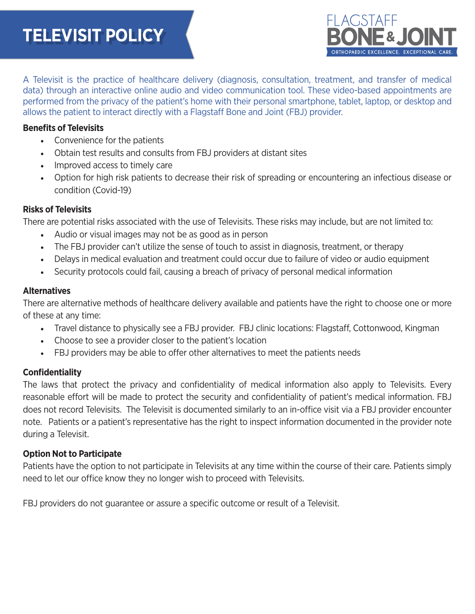# **TELEVISIT POLICY**



A Televisit is the practice of healthcare delivery (diagnosis, consultation, treatment, and transfer of medical data) through an interactive online audio and video communication tool. These video-based appointments are performed from the privacy of the patient's home with their personal smartphone, tablet, laptop, or desktop and allows the patient to interact directly with a Flagstaff Bone and Joint (FBJ) provider.

#### **Benefits of Televisits**

- Convenience for the patients
- Obtain test results and consults from FBJ providers at distant sites
- Improved access to timely care
- Option for high risk patients to decrease their risk of spreading or encountering an infectious disease or condition (Covid-19)

#### **Risks of Televisits**

There are potential risks associated with the use of Televisits. These risks may include, but are not limited to:

- Audio or visual images may not be as good as in person
- The FBJ provider can't utilize the sense of touch to assist in diagnosis, treatment, or therapy
- Delays in medical evaluation and treatment could occur due to failure of video or audio equipment
- Security protocols could fail, causing a breach of privacy of personal medical information

#### **Alternatives**

There are alternative methods of healthcare delivery available and patients have the right to choose one or more of these at any time:

- Travel distance to physically see a FBJ provider. FBJ clinic locations: Flagstaff, Cottonwood, Kingman
- Choose to see a provider closer to the patient's location
- FBJ providers may be able to offer other alternatives to meet the patients needs

#### **Confidentiality**

The laws that protect the privacy and confidentiality of medical information also apply to Televisits. Every reasonable effort will be made to protect the security and confidentiality of patient's medical information. FBJ does not record Televisits. The Televisit is documented similarly to an in-office visit via a FBJ provider encounter note. Patients or a patient's representative has the right to inspect information documented in the provider note during a Televisit.

#### **Option Not to Participate**

Patients have the option to not participate in Televisits at any time within the course of their care. Patients simply need to let our office know they no longer wish to proceed with Televisits.

FBJ providers do not guarantee or assure a specific outcome or result of a Televisit.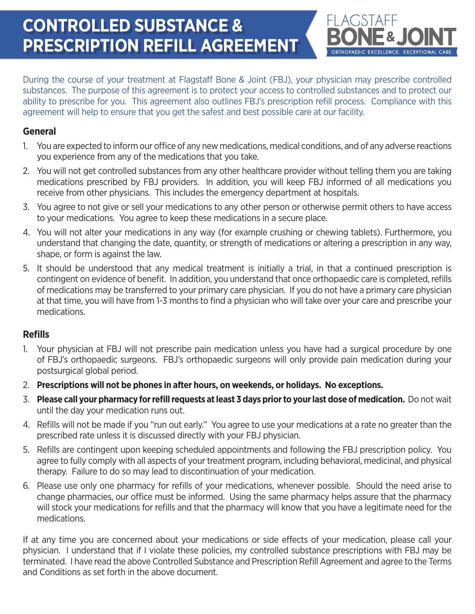# **CONTROLLED SUBSTANCE & PRESCRIPTION REFILL AGREEMENT**



During the course of your treatment at Flagstaff Bone & Joint (FBJ), your physician may prescribe controlled substances. The purpose of this agreement is to protect your access to controlled substances and to protect our ability to prescribe for you. This agreement also outlines FBJ's prescription refill process. Compliance with this agreement will help to ensure that you get the safest and best possible care at our facility.

#### **General**

- 1. You are expected to inform our office of any new medications, medical conditions, and of any adverse reactions you experience from any of the medications that you take.
- 2. You will not get controlled substances from any other healthcare provider without telling them you are taking medications prescribed by FBJ providers. In addition, you will keep FBJ informed of all medications you receive from other physicians. This includes the emergency department at hospitals.
- 3. You agree to not give or sell your medications to any other person or otherwise permit others to have access to your medications. You agree to keep these medications in a secure place.
- 4. You will not alter your medications in any way (for example crushing or chewing tablets). Furthermore, you understand that changing the date, quantity, or strength of medications or altering a prescription in any way, shape, or form is against the law.
- 5. It should be understood that any medical treatment is initially a trial, in that a continued prescription is contingent on evidence of benefit. In addition, you understand that once orthopaedic care is completed, refills of medications may be transferred to your primary care physician. If you do not have a primary care physician at that time, you will have from 1-3 months to find a physician who will take over your care and prescribe your medications.

#### **Refills**

- 1. Your physician at FBJ will not prescribe pain medication unless you have had a surgical procedure by one of FBJ's orthopaedic surgeons. FBJ's orthopaedic surgeons will only provide pain medication during your postsurgical global period.
- 2. **Prescriptions will not be phones in after hours, on weekends, or holidays. No exceptions.**
- 3. **Please call your pharmacy for refill requests at least 3 days prior to your last dose of medication.** Do not wait until the day your medication runs out.
- 4. Refills will not be made if you "run out early." You agree to use your medications at a rate no greater than the prescribed rate unless it is discussed directly with your FBJ physician.
- 5. Refills are contingent upon keeping scheduled appointments and following the FBJ prescription policy. You agree to fully comply with all aspects of your treatment program, including behavioral, medicinal, and physical therapy. Failure to do so may lead to discontinuation of your medication.
- 6. Please use only one pharmacy for refills of your medications, whenever possible. Should the need arise to change pharmacies, our office must be informed. Using the same pharmacy helps assure that the pharmacy will stock your medications for refills and that the pharmacy will know that you have a legitimate need for the medications.

If at any time you are concerned about your medications or side effects of your medication, please call your physician. I understand that if I violate these policies, my controlled substance prescriptions with FBJ may be terminated. I have read the above Controlled Substance and Prescription Refill Agreement and agree to the Terms and Conditions as set forth in the above document.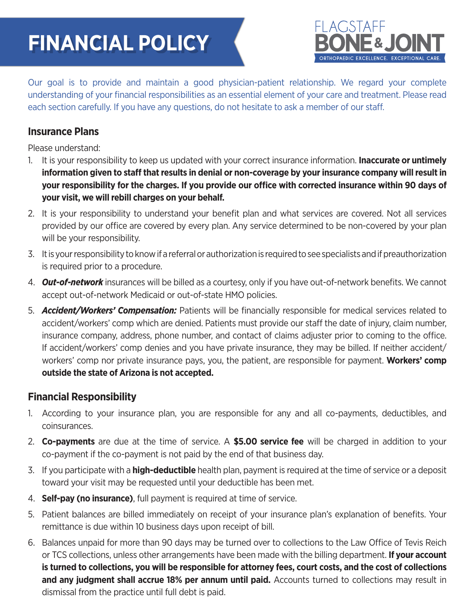# **FINANCIAL POLICY**



Our goal is to provide and maintain a good physician-patient relationship. We regard your complete understanding of your financial responsibilities as an essential element of your care and treatment. Please read each section carefully. If you have any questions, do not hesitate to ask a member of our staff.

#### **Insurance Plans**

Please understand:

- 1. It is your responsibility to keep us updated with your correct insurance information. **Inaccurate or untimely information given to staff that results in denial or non-coverage by your insurance company will result in your responsibility for the charges. If you provide our office with corrected insurance within 90 days of your visit, we will rebill charges on your behalf.**
- 2. It is your responsibility to understand your benefit plan and what services are covered. Not all services provided by our office are covered by every plan. Any service determined to be non-covered by your plan will be your responsibility.
- 3. It is your responsibility to know if a referral or authorization is required to see specialists and if preauthorization is required prior to a procedure.
- 4. *Out-of-network* insurances will be billed as a courtesy, only if you have out-of-network benefits. We cannot accept out-of-network Medicaid or out-of-state HMO policies.
- 5. *Accident/Workers' Compensation:* Patients will be financially responsible for medical services related to accident/workers' comp which are denied. Patients must provide our staff the date of injury, claim number, insurance company, address, phone number, and contact of claims adjuster prior to coming to the office. If accident/workers' comp denies and you have private insurance, they may be billed. If neither accident/ workers' comp nor private insurance pays, you, the patient, are responsible for payment. **Workers' comp outside the state of Arizona is not accepted.**

#### **Financial Responsibility**

- 1. According to your insurance plan, you are responsible for any and all co-payments, deductibles, and coinsurances.
- 2. **Co-payments** are due at the time of service. A **\$5.00 service fee** will be charged in addition to your co-payment if the co-payment is not paid by the end of that business day.
- 3. If you participate with a **high-deductible** health plan, payment is required at the time of service or a deposit toward your visit may be requested until your deductible has been met.
- 4. **Self-pay (no insurance)**, full payment is required at time of service.
- 5. Patient balances are billed immediately on receipt of your insurance plan's explanation of benefits. Your remittance is due within 10 business days upon receipt of bill.
- 6. Balances unpaid for more than 90 days may be turned over to collections to the Law Office of Tevis Reich or TCS collections, unless other arrangements have been made with the billing department. **If your account is turned to collections, you will be responsible for attorney fees, court costs, and the cost of collections and any judgment shall accrue 18% per annum until paid.** Accounts turned to collections may result in dismissal from the practice until full debt is paid.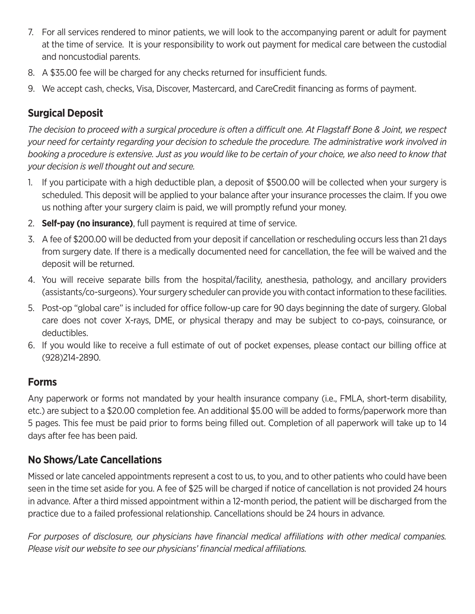- 7. For all services rendered to minor patients, we will look to the accompanying parent or adult for payment at the time of service. It is your responsibility to work out payment for medical care between the custodial and noncustodial parents.
- 8. A \$35.00 fee will be charged for any checks returned for insufficient funds.
- 9. We accept cash, checks, Visa, Discover, Mastercard, and CareCredit financing as forms of payment.

## **Surgical Deposit**

*The decision to proceed with a surgical procedure is often a difficult one. At Flagstaff Bone & Joint, we respect your need for certainty regarding your decision to schedule the procedure. The administrative work involved in booking a procedure is extensive. Just as you would like to be certain of your choice, we also need to know that your decision is well thought out and secure.*

- 1. If you participate with a high deductible plan, a deposit of \$500.00 will be collected when your surgery is scheduled. This deposit will be applied to your balance after your insurance processes the claim. If you owe us nothing after your surgery claim is paid, we will promptly refund your money.
- 2. **Self-pay (no insurance)**, full payment is required at time of service.
- 3. A fee of \$200.00 will be deducted from your deposit if cancellation or rescheduling occurs less than 21 days from surgery date. If there is a medically documented need for cancellation, the fee will be waived and the deposit will be returned.
- 4. You will receive separate bills from the hospital/facility, anesthesia, pathology, and ancillary providers (assistants/co-surgeons). Your surgery scheduler can provide you with contact information to these facilities.
- 5. Post-op "global care" is included for office follow-up care for 90 days beginning the date of surgery. Global care does not cover X-rays, DME, or physical therapy and may be subject to co-pays, coinsurance, or deductibles.
- 6. If you would like to receive a full estimate of out of pocket expenses, please contact our billing office at (928)214-2890.

### **Forms**

Any paperwork or forms not mandated by your health insurance company (i.e., FMLA, short-term disability, etc.) are subject to a \$20.00 completion fee. An additional \$5.00 will be added to forms/paperwork more than 5 pages. This fee must be paid prior to forms being filled out. Completion of all paperwork will take up to 14 days after fee has been paid.

# **No Shows/Late Cancellations**

Missed or late canceled appointments represent a cost to us, to you, and to other patients who could have been seen in the time set aside for you. A fee of \$25 will be charged if notice of cancellation is not provided 24 hours in advance. After a third missed appointment within a 12-month period, the patient will be discharged from the practice due to a failed professional relationship. Cancellations should be 24 hours in advance.

*For purposes of disclosure, our physicians have financial medical affiliations with other medical companies. Please visit our website to see our physicians' financial medical affiliations.*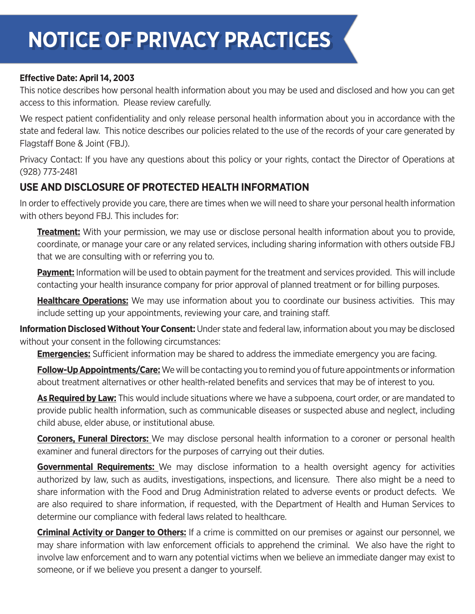# **NOTICE OF PRIVACY PRACTICES**

#### **Effective Date: April 14, 2003**

This notice describes how personal health information about you may be used and disclosed and how you can get access to this information. Please review carefully.

We respect patient confidentiality and only release personal health information about you in accordance with the state and federal law. This notice describes our policies related to the use of the records of your care generated by Flagstaff Bone & Joint (FBJ).

Privacy Contact: If you have any questions about this policy or your rights, contact the Director of Operations at (928) 773-2481

# **USE AND DISCLOSURE OF PROTECTED HEALTH INFORMATION**

In order to effectively provide you care, there are times when we will need to share your personal health information with others beyond FBJ. This includes for:

**Treatment:** With your permission, we may use or disclose personal health information about you to provide, coordinate, or manage your care or any related services, including sharing information with others outside FBJ that we are consulting with or referring you to.

**Payment:** Information will be used to obtain payment for the treatment and services provided. This will include contacting your health insurance company for prior approval of planned treatment or for billing purposes.

**Healthcare Operations:** We may use information about you to coordinate our business activities. This may include setting up your appointments, reviewing your care, and training staff.

**Information Disclosed Without Your Consent:** Under state and federal law, information about you may be disclosed without your consent in the following circumstances:

**Emergencies:** Sufficient information may be shared to address the immediate emergency you are facing.

**Follow-Up Appointments/Care:** We will be contacting you to remind you of future appointments or information about treatment alternatives or other health-related benefits and services that may be of interest to you.

**As Required by Law:** This would include situations where we have a subpoena, court order, or are mandated to provide public health information, such as communicable diseases or suspected abuse and neglect, including child abuse, elder abuse, or institutional abuse.

**Coroners, Funeral Directors:** We may disclose personal health information to a coroner or personal health examiner and funeral directors for the purposes of carrying out their duties.

**Governmental Requirements:** We may disclose information to a health oversight agency for activities authorized by law, such as audits, investigations, inspections, and licensure. There also might be a need to share information with the Food and Drug Administration related to adverse events or product defects. We are also required to share information, if requested, with the Department of Health and Human Services to determine our compliance with federal laws related to healthcare.

**Criminal Activity or Danger to Others:** If a crime is committed on our premises or against our personnel, we may share information with law enforcement officials to apprehend the criminal. We also have the right to involve law enforcement and to warn any potential victims when we believe an immediate danger may exist to someone, or if we believe you present a danger to yourself.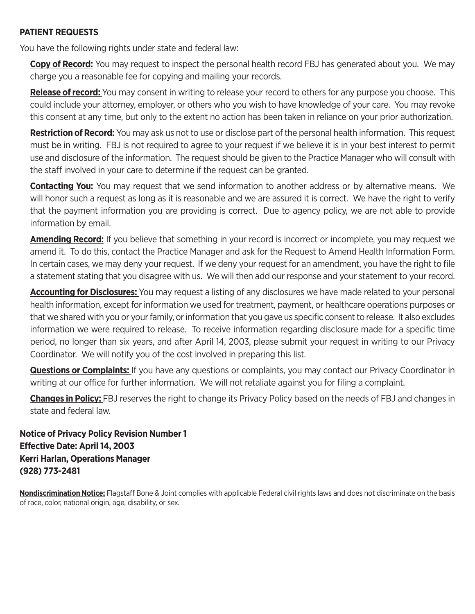#### **PATIENT REQUESTS**

You have the following rights under state and federal law:

**Copy of Record:** You may request to inspect the personal health record FBJ has generated about you. We may charge you a reasonable fee for copying and mailing your records.

**Release of record:** You may consent in writing to release your record to others for any purpose you choose. This could include your attorney, employer, or others who you wish to have knowledge of your care. You may revoke this consent at any time, but only to the extent no action has been taken in reliance on your prior authorization.

**Restriction of Record:** You may ask us not to use or disclose part of the personal health information. This request must be in writing. FBJ is not required to agree to your request if we believe it is in your best interest to permit use and disclosure of the information. The request should be given to the Practice Manager who will consult with the staff involved in your care to determine if the request can be granted.

**Contacting You:** You may request that we send information to another address or by alternative means. We will honor such a request as long as it is reasonable and we are assured it is correct. We have the right to verify that the payment information you are providing is correct. Due to agency policy, we are not able to provide information by email.

**Amending Record:** If you believe that something in your record is incorrect or incomplete, you may request we amend it. To do this, contact the Practice Manager and ask for the Request to Amend Health Information Form. In certain cases, we may deny your request. If we deny your request for an amendment, you have the right to file a statement stating that you disagree with us. We will then add our response and your statement to your record.

**Accounting for Disclosures:** You may request a listing of any disclosures we have made related to your personal health information, except for information we used for treatment, payment, or healthcare operations purposes or that we shared with you or your family, or information that you gave us specific consent to release. It also excludes information we were required to release. To receive information regarding disclosure made for a specific time period, no longer than six years, and after April 14, 2003, please submit your request in writing to our Privacy Coordinator. We will notify you of the cost involved in preparing this list.

**Questions or Complaints:** If you have any questions or complaints, you may contact our Privacy Coordinator in writing at our office for further information. We will not retaliate against you for filing a complaint.

**Changes in Policy:** FBJ reserves the right to change its Privacy Policy based on the needs of FBJ and changes in state and federal law.

**Notice of Privacy Policy Revision Number 1 Effective Date: April 14, 2003 Kerri Harlan, Operations Manager (928) 773-2481** 

**Nondiscrimination Notice:** Flagstaff Bone & Joint complies with applicable Federal civil rights laws and does not discriminate on the basis of race, color, national origin, age, disability, or sex.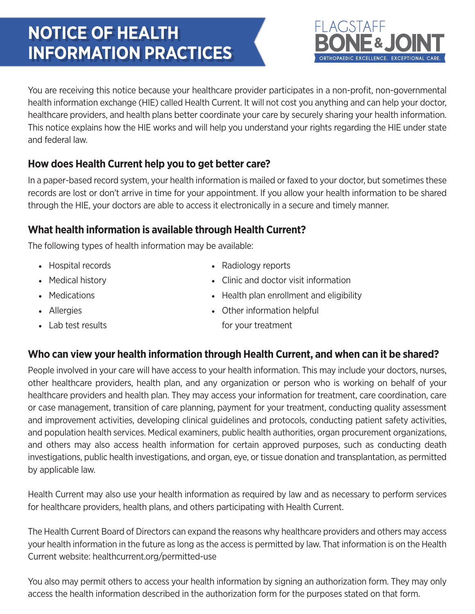# **NOTICE OF HEALTH INFORMATION PRACTICES**



You are receiving this notice because your healthcare provider participates in a non-profit, non-governmental health information exchange (HIE) called Health Current. It will not cost you anything and can help your doctor, healthcare providers, and health plans better coordinate your care by securely sharing your health information. This notice explains how the HIE works and will help you understand your rights regarding the HIE under state and federal law.

# **How does Health Current help you to get better care?**

In a paper-based record system, your health information is mailed or faxed to your doctor, but sometimes these records are lost or don't arrive in time for your appointment. If you allow your health information to be shared through the HIE, your doctors are able to access it electronically in a secure and timely manner.

# **What health information is available through Health Current?**

The following types of health information may be available:

- Hospital records
- Medical history
- Medications
- Allergies
- Lab test results
- Radiology reports
- Clinic and doctor visit information
- Health plan enrollment and eligibility
- Other information helpful

for your treatment

**Who can view your health information through Health Current, and when can it be shared?**

People involved in your care will have access to your health information. This may include your doctors, nurses, other healthcare providers, health plan, and any organization or person who is working on behalf of your healthcare providers and health plan. They may access your information for treatment, care coordination, care or case management, transition of care planning, payment for your treatment, conducting quality assessment and improvement activities, developing clinical guidelines and protocols, conducting patient safety activities, and population health services. Medical examiners, public health authorities, organ procurement organizations, and others may also access health information for certain approved purposes, such as conducting death investigations, public health investigations, and organ, eye, or tissue donation and transplantation, as permitted by applicable law.

Health Current may also use your health information as required by law and as necessary to perform services for healthcare providers, health plans, and others participating with Health Current.

The Health Current Board of Directors can expand the reasons why healthcare providers and others may access your health information in the future as long as the access is permitted by law. That information is on the Health Current website: healthcurrent.org/permitted-use

You also may permit others to access your health information by signing an authorization form. They may only access the health information described in the authorization form for the purposes stated on that form.